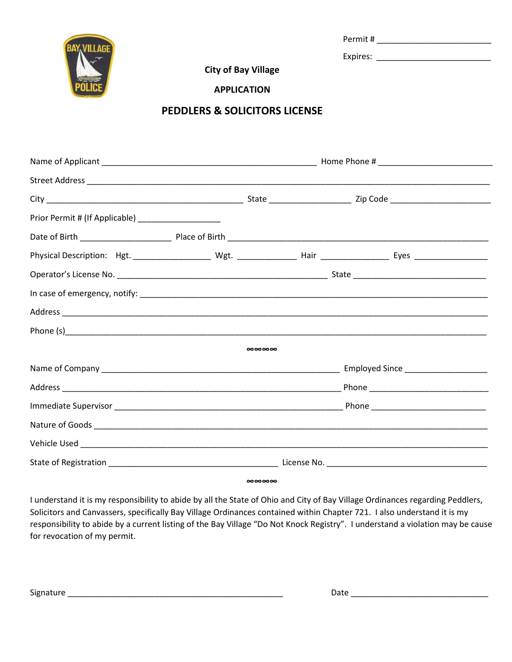

Permit # \_\_\_\_\_\_\_\_\_\_\_\_\_\_\_\_\_\_\_\_\_\_\_\_\_

Expires:

**City of Bay Village**

**APPLICATION** 

## **PEDDLERS & SOLICITORS LICENSE**

| Prior Permit # (If Applicable) ______________________ |          |  |  |
|-------------------------------------------------------|----------|--|--|
|                                                       |          |  |  |
|                                                       |          |  |  |
|                                                       |          |  |  |
|                                                       |          |  |  |
|                                                       |          |  |  |
|                                                       |          |  |  |
|                                                       | 00000000 |  |  |
|                                                       |          |  |  |
|                                                       |          |  |  |
|                                                       |          |  |  |
|                                                       |          |  |  |
|                                                       |          |  |  |
|                                                       |          |  |  |
|                                                       | 00000000 |  |  |

I understand it is my responsibility to abide by all the State of Ohio and City of Bay Village Ordinances regarding Peddlers, Solicitors and Canvassers, specifically Bay Village Ordinances contained within Chapter 721. I also understand it is my responsibility to abide by a current listing of the Bay Village "Do Not Knock Registry". I understand a violation may be cause for revocation of my permit.

Signature \_\_\_\_\_\_\_\_\_\_\_\_\_\_\_\_\_\_\_\_\_\_\_\_\_\_\_\_\_\_\_\_\_\_\_\_\_\_\_\_\_\_\_\_\_\_\_ Date \_\_\_\_\_\_\_\_\_\_\_\_\_\_\_\_\_\_\_\_\_\_\_\_\_\_\_\_\_\_